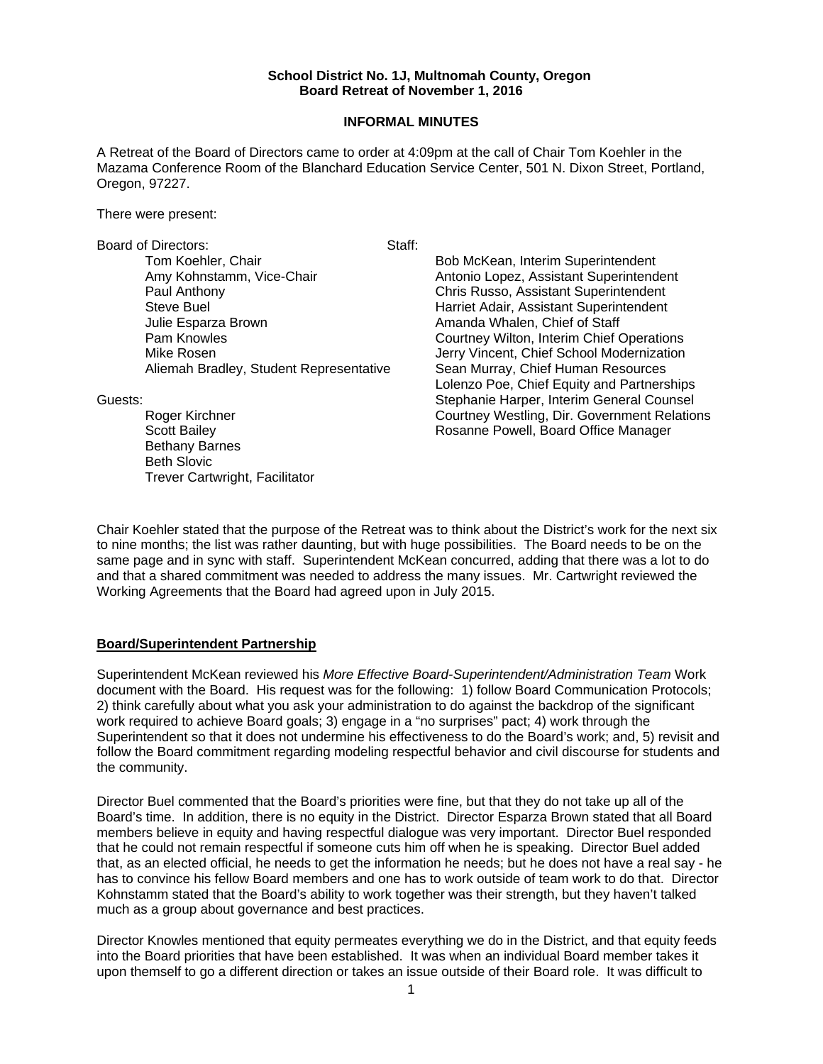#### **School District No. 1J, Multnomah County, Oregon Board Retreat of November 1, 2016**

#### **INFORMAL MINUTES**

A Retreat of the Board of Directors came to order at 4:09pm at the call of Chair Tom Koehler in the Mazama Conference Room of the Blanchard Education Service Center, 501 N. Dixon Street, Portland, Oregon, 97227.

There were present:

Board of Directors: Staff:

Tom Koehler, Chair **Bob McKean, Interim Superintendent** Amy Kohnstamm, Vice-Chair Antonio Lopez, Assistant Superintendent Paul Anthony Chris Russo, Assistant Superintendent Steve Buel Harriet Adair, Assistant Superintendent Julie Esparza Brown Amanda Whalen, Chief of Staff Pam Knowles Courtney Wilton, Interim Chief Operations Aliemah Bradley, Student Representative

Bethany Barnes Beth Slovic Trever Cartwright, Facilitator

Mike Rosen<br>Aliemah Bradley, Student Representative Sean Murray, Chief Human Resources Lolenzo Poe, Chief Equity and Partnerships Guests: Stephanie Harper, Interim General Counsel Roger Kirchner Courtney Westling, Dir. Government Relations Scott Bailey **Rosanne Powell, Board Office Manager** 

Chair Koehler stated that the purpose of the Retreat was to think about the District's work for the next six to nine months; the list was rather daunting, but with huge possibilities. The Board needs to be on the same page and in sync with staff. Superintendent McKean concurred, adding that there was a lot to do and that a shared commitment was needed to address the many issues. Mr. Cartwright reviewed the Working Agreements that the Board had agreed upon in July 2015.

### **Board/Superintendent Partnership**

Superintendent McKean reviewed his *More Effective Board-Superintendent/Administration Team* Work document with the Board. His request was for the following: 1) follow Board Communication Protocols; 2) think carefully about what you ask your administration to do against the backdrop of the significant work required to achieve Board goals; 3) engage in a "no surprises" pact; 4) work through the Superintendent so that it does not undermine his effectiveness to do the Board's work; and, 5) revisit and follow the Board commitment regarding modeling respectful behavior and civil discourse for students and the community.

Director Buel commented that the Board's priorities were fine, but that they do not take up all of the Board's time. In addition, there is no equity in the District. Director Esparza Brown stated that all Board members believe in equity and having respectful dialogue was very important. Director Buel responded that he could not remain respectful if someone cuts him off when he is speaking. Director Buel added that, as an elected official, he needs to get the information he needs; but he does not have a real say - he has to convince his fellow Board members and one has to work outside of team work to do that. Director Kohnstamm stated that the Board's ability to work together was their strength, but they haven't talked much as a group about governance and best practices.

Director Knowles mentioned that equity permeates everything we do in the District, and that equity feeds into the Board priorities that have been established. It was when an individual Board member takes it upon themself to go a different direction or takes an issue outside of their Board role. It was difficult to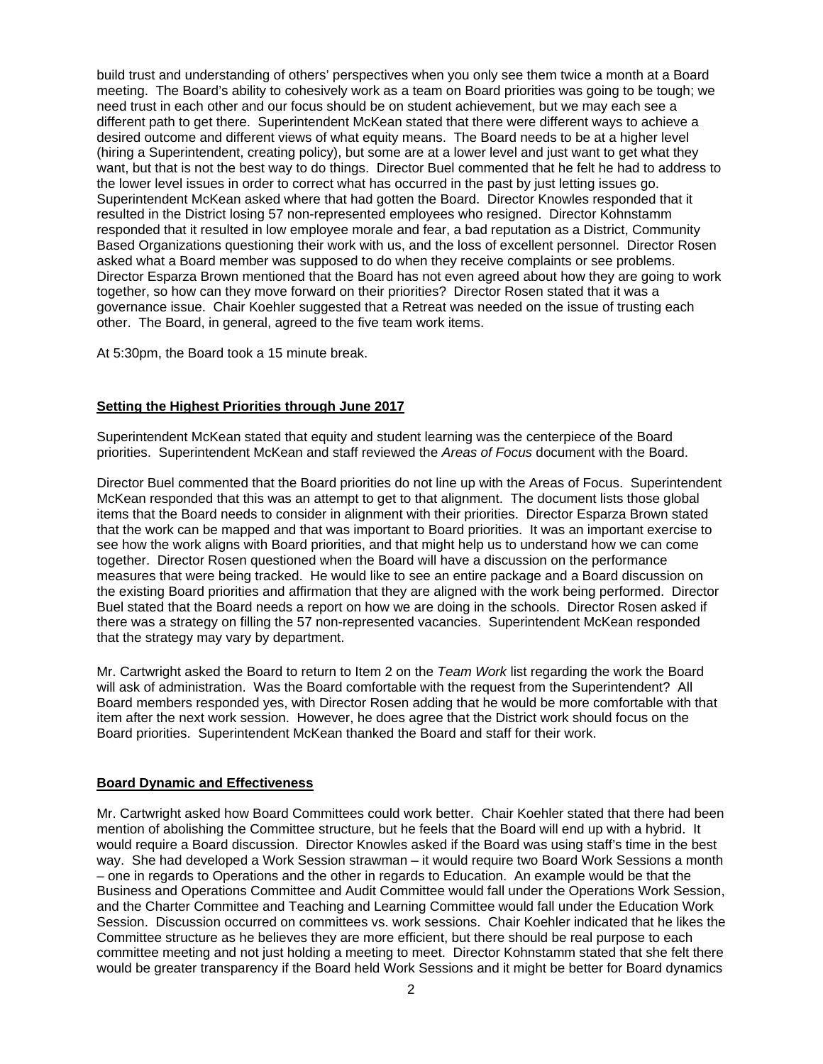build trust and understanding of others' perspectives when you only see them twice a month at a Board meeting. The Board's ability to cohesively work as a team on Board priorities was going to be tough; we need trust in each other and our focus should be on student achievement, but we may each see a different path to get there. Superintendent McKean stated that there were different ways to achieve a desired outcome and different views of what equity means. The Board needs to be at a higher level (hiring a Superintendent, creating policy), but some are at a lower level and just want to get what they want, but that is not the best way to do things. Director Buel commented that he felt he had to address to the lower level issues in order to correct what has occurred in the past by just letting issues go. Superintendent McKean asked where that had gotten the Board. Director Knowles responded that it resulted in the District losing 57 non-represented employees who resigned. Director Kohnstamm responded that it resulted in low employee morale and fear, a bad reputation as a District, Community Based Organizations questioning their work with us, and the loss of excellent personnel. Director Rosen asked what a Board member was supposed to do when they receive complaints or see problems. Director Esparza Brown mentioned that the Board has not even agreed about how they are going to work together, so how can they move forward on their priorities? Director Rosen stated that it was a governance issue. Chair Koehler suggested that a Retreat was needed on the issue of trusting each other. The Board, in general, agreed to the five team work items.

At 5:30pm, the Board took a 15 minute break.

## **Setting the Highest Priorities through June 2017**

Superintendent McKean stated that equity and student learning was the centerpiece of the Board priorities. Superintendent McKean and staff reviewed the *Areas of Focus* document with the Board.

Director Buel commented that the Board priorities do not line up with the Areas of Focus. Superintendent McKean responded that this was an attempt to get to that alignment. The document lists those global items that the Board needs to consider in alignment with their priorities. Director Esparza Brown stated that the work can be mapped and that was important to Board priorities. It was an important exercise to see how the work aligns with Board priorities, and that might help us to understand how we can come together. Director Rosen questioned when the Board will have a discussion on the performance measures that were being tracked. He would like to see an entire package and a Board discussion on the existing Board priorities and affirmation that they are aligned with the work being performed. Director Buel stated that the Board needs a report on how we are doing in the schools. Director Rosen asked if there was a strategy on filling the 57 non-represented vacancies. Superintendent McKean responded that the strategy may vary by department.

Mr. Cartwright asked the Board to return to Item 2 on the *Team Work* list regarding the work the Board will ask of administration. Was the Board comfortable with the request from the Superintendent? All Board members responded yes, with Director Rosen adding that he would be more comfortable with that item after the next work session. However, he does agree that the District work should focus on the Board priorities. Superintendent McKean thanked the Board and staff for their work.

### **Board Dynamic and Effectiveness**

Mr. Cartwright asked how Board Committees could work better. Chair Koehler stated that there had been mention of abolishing the Committee structure, but he feels that the Board will end up with a hybrid. It would require a Board discussion. Director Knowles asked if the Board was using staff's time in the best way. She had developed a Work Session strawman – it would require two Board Work Sessions a month – one in regards to Operations and the other in regards to Education. An example would be that the Business and Operations Committee and Audit Committee would fall under the Operations Work Session, and the Charter Committee and Teaching and Learning Committee would fall under the Education Work Session. Discussion occurred on committees vs. work sessions. Chair Koehler indicated that he likes the Committee structure as he believes they are more efficient, but there should be real purpose to each committee meeting and not just holding a meeting to meet. Director Kohnstamm stated that she felt there would be greater transparency if the Board held Work Sessions and it might be better for Board dynamics